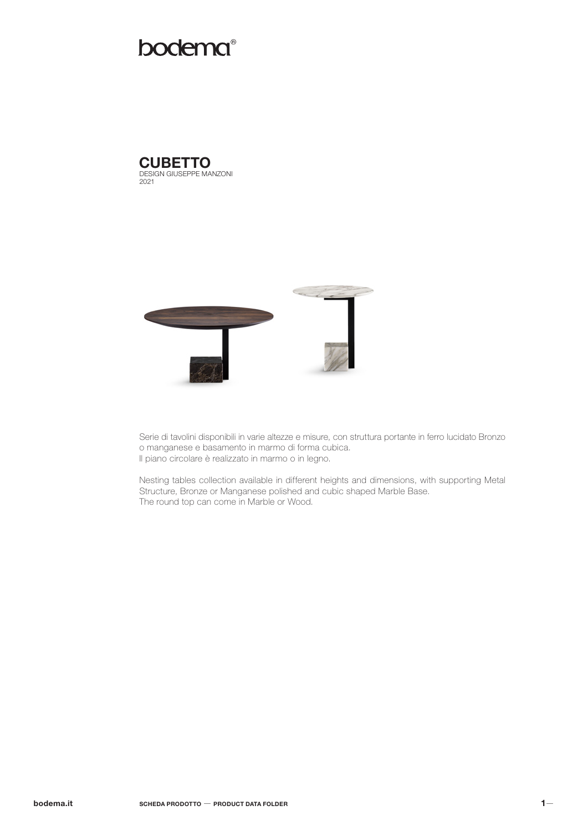# bodema®

DESIGN GIUSEPPE MANZONI 2021 **CUBETTO** 



Serie di tavolini disponibili in varie altezze e misure, con struttura portante in ferro lucidato Bronzo o manganese e basamento in marmo di forma cubica. Il piano circolare è realizzato in marmo o in legno.

Nesting tables collection available in different heights and dimensions, with supporting Metal Structure, Bronze or Manganese polished and cubic shaped Marble Base. The round top can come in Marble or Wood.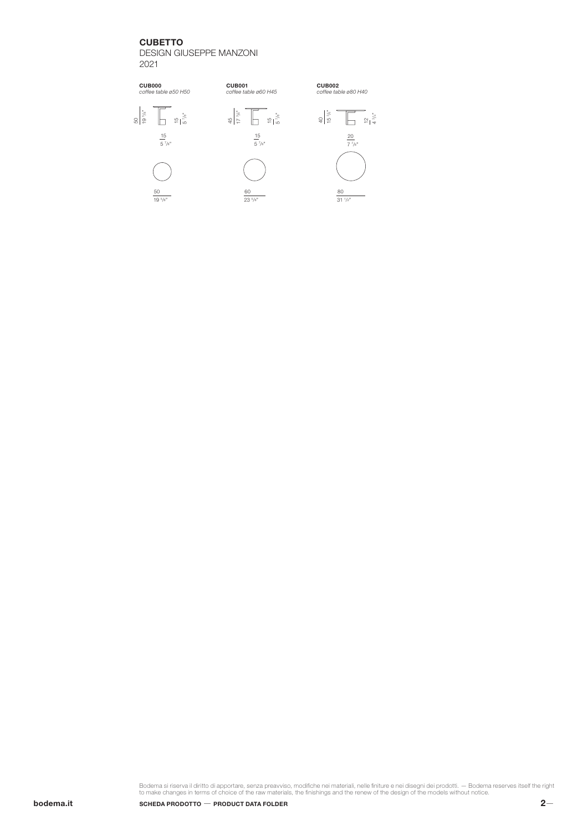### **CUBETTO**

DESIGN GIUSEPPE MANZONI 2021



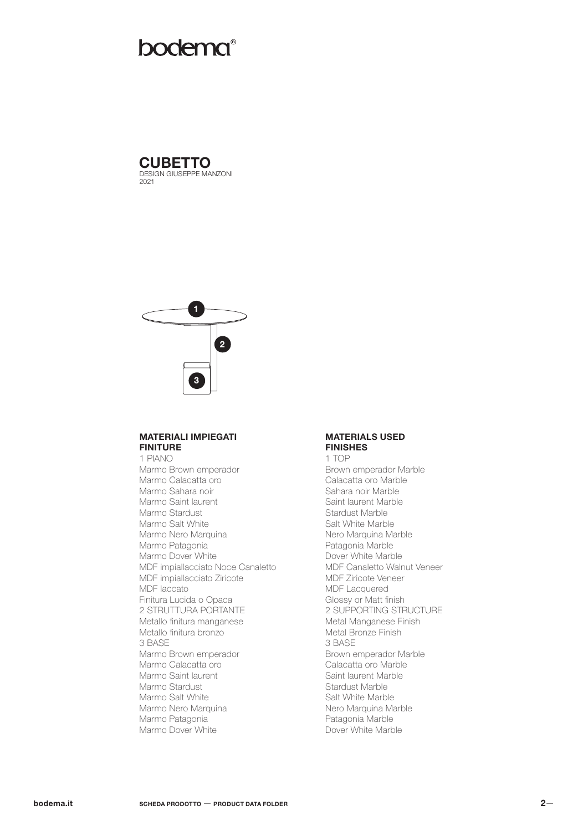## **bodema®**





#### MATERIALI IMPIEGATI **FINITURE**

1 PIANO Marmo Brown emperador Marmo Calacatta oro Marmo Sahara noir Marmo Saint laurent Marmo Stardust Marmo Salt White Marmo Nero Marquina Marmo Patagonia Marmo Dover White MDF impiallacciato Noce Canaletto MDF impiallacciato Ziricote MDF laccato Finitura Lucida o Opaca 2 STRUTTURA PORTANTE Metallo finitura manganese Metallo finitura bronzo 3 BASE Marmo Brown emperador Marmo Calacatta oro Marmo Saint laurent Marmo Stardust Marmo Salt White Marmo Nero Marquina Marmo Patagonia Marmo Dover White

#### MATERIALS USED FINISHES

1 TOP Brown emperador Marble Calacatta oro Marble Sahara noir Marble Saint laurent Marble Stardust Marble Salt White Marble Nero Marquina Marble Patagonia Marble Dover White Marble MDF Canaletto Walnut Veneer MDF Ziricote Veneer MDF Lacquered Glossy or Matt finish 2 SUPPORTING STRUCTURE Metal Manganese Finish Metal Bronze Finish 3 BASE Brown emperador Marble Calacatta oro Marble Saint laurent Marble Stardust Marble Salt White Marble Nero Marquina Marble Patagonia Marble Dover White Marble